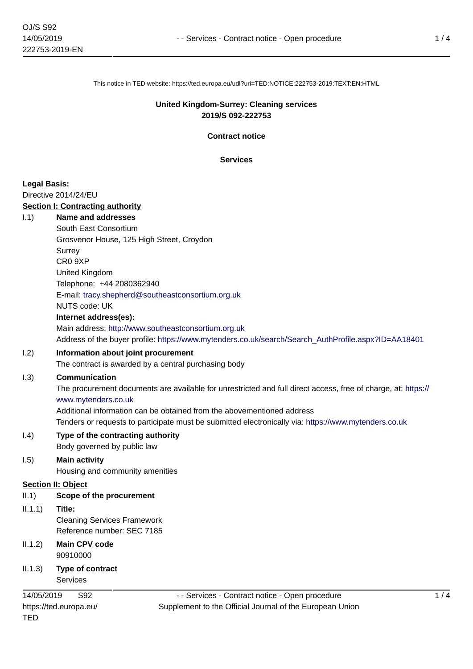This notice in TED website: https://ted.europa.eu/udl?uri=TED:NOTICE:222753-2019:TEXT:EN:HTML

#### **United Kingdom-Surrey: Cleaning services 2019/S 092-222753**

**Contract notice**

**Services**

#### **Legal Basis:**

Directive 2014/24/EU

#### **Section I: Contracting authority**

- I.1) **Name and addresses**
	- South East Consortium

Grosvenor House, 125 High Street, Croydon

**Surrey** 

CR0 9XP

United Kingdom

Telephone: +44 2080362940

E-mail: [tracy.shepherd@southeastconsortium.org.uk](mailto:tracy.shepherd@southeastconsortium.org.uk) 

# NUTS code: UK

**Internet address(es):**

Main address:<http://www.southeastconsortium.org.uk>

Address of the buyer profile: [https://www.mytenders.co.uk/search/Search\\_AuthProfile.aspx?ID=AA18401](https://www.mytenders.co.uk/search/Search_AuthProfile.aspx?ID=AA18401)

## I.2) **Information about joint procurement**

The contract is awarded by a central purchasing body

## I.3) **Communication**

The procurement documents are available for unrestricted and full direct access, free of charge, at: [https://](https://www.mytenders.co.uk) [www.mytenders.co.uk](https://www.mytenders.co.uk)

Additional information can be obtained from the abovementioned address

Tenders or requests to participate must be submitted electronically via:<https://www.mytenders.co.uk>

#### I.4) **Type of the contracting authority** Body governed by public law

## I.5) **Main activity**

Housing and community amenities

## **Section II: Object**

- II.1) **Scope of the procurement**
- II.1.1) **Title:**

Cleaning Services Framework Reference number: SEC 7185

- II.1.2) **Main CPV code** 90910000
- II.1.3) **Type of contract** Services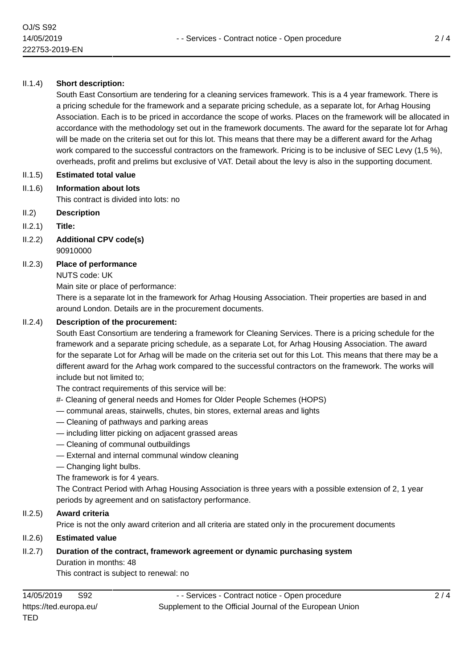#### II.1.4) **Short description:**

South East Consortium are tendering for a cleaning services framework. This is a 4 year framework. There is a pricing schedule for the framework and a separate pricing schedule, as a separate lot, for Arhag Housing Association. Each is to be priced in accordance the scope of works. Places on the framework will be allocated in accordance with the methodology set out in the framework documents. The award for the separate lot for Arhag will be made on the criteria set out for this lot. This means that there may be a different award for the Arhag work compared to the successful contractors on the framework. Pricing is to be inclusive of SEC Levy (1,5 %), overheads, profit and prelims but exclusive of VAT. Detail about the levy is also in the supporting document.

#### II.1.5) **Estimated total value**

- II.1.6) **Information about lots** This contract is divided into lots: no
- II.2) **Description**
- II.2.1) **Title:**
- II.2.2) **Additional CPV code(s)** 90910000
- II.2.3) **Place of performance**
	- NUTS code: UK

Main site or place of performance:

There is a separate lot in the framework for Arhag Housing Association. Their properties are based in and around London. Details are in the procurement documents.

#### II.2.4) **Description of the procurement:**

South East Consortium are tendering a framework for Cleaning Services. There is a pricing schedule for the framework and a separate pricing schedule, as a separate Lot, for Arhag Housing Association. The award for the separate Lot for Arhag will be made on the criteria set out for this Lot. This means that there may be a different award for the Arhag work compared to the successful contractors on the framework. The works will include but not limited to;

The contract requirements of this service will be:

- #- Cleaning of general needs and Homes for Older People Schemes (HOPS)
- communal areas, stairwells, chutes, bin stores, external areas and lights
- Cleaning of pathways and parking areas
- including litter picking on adjacent grassed areas
- Cleaning of communal outbuildings
- External and internal communal window cleaning
- Changing light bulbs.

The framework is for 4 years.

The Contract Period with Arhag Housing Association is three years with a possible extension of 2, 1 year periods by agreement and on satisfactory performance.

## II.2.5) **Award criteria**

Price is not the only award criterion and all criteria are stated only in the procurement documents

## II.2.6) **Estimated value**

#### II.2.7) **Duration of the contract, framework agreement or dynamic purchasing system** Duration in months: 48

This contract is subject to renewal: no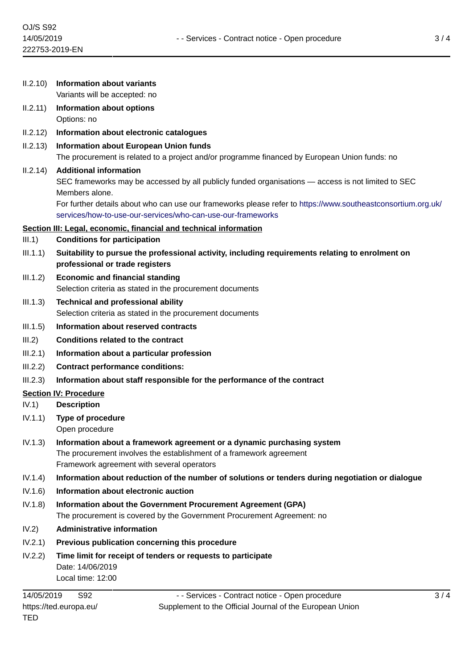| 11.2.10    | Information about variants<br>Variants will be accepted: no                                                                                                                                                                                                           |   |
|------------|-----------------------------------------------------------------------------------------------------------------------------------------------------------------------------------------------------------------------------------------------------------------------|---|
| II.2.11)   | <b>Information about options</b><br>Options: no                                                                                                                                                                                                                       |   |
| II.2.12)   | Information about electronic catalogues                                                                                                                                                                                                                               |   |
| II.2.13)   | Information about European Union funds<br>The procurement is related to a project and/or programme financed by European Union funds: no                                                                                                                               |   |
| II.2.14)   | <b>Additional information</b><br>SEC frameworks may be accessed by all publicly funded organisations — access is not limited to SEC<br>Members alone.<br>For further details about who can use our frameworks please refer to https://www.southeastconsortium.org.uk/ |   |
|            | services/how-to-use-our-services/who-can-use-our-frameworks                                                                                                                                                                                                           |   |
| III.1)     | Section III: Legal, economic, financial and technical information<br><b>Conditions for participation</b>                                                                                                                                                              |   |
| III.1.1)   | Suitability to pursue the professional activity, including requirements relating to enrolment on<br>professional or trade registers                                                                                                                                   |   |
| III.1.2)   | <b>Economic and financial standing</b><br>Selection criteria as stated in the procurement documents                                                                                                                                                                   |   |
| III.1.3)   | <b>Technical and professional ability</b><br>Selection criteria as stated in the procurement documents                                                                                                                                                                |   |
| III.1.5)   | Information about reserved contracts                                                                                                                                                                                                                                  |   |
| III.2)     | <b>Conditions related to the contract</b>                                                                                                                                                                                                                             |   |
| III.2.1)   | Information about a particular profession                                                                                                                                                                                                                             |   |
| III.2.2)   | <b>Contract performance conditions:</b>                                                                                                                                                                                                                               |   |
| III.2.3)   | Information about staff responsible for the performance of the contract                                                                                                                                                                                               |   |
|            | <b>Section IV: Procedure</b>                                                                                                                                                                                                                                          |   |
| IV.1)      | <b>Description</b>                                                                                                                                                                                                                                                    |   |
| IV.1.1)    | <b>Type of procedure</b><br>Open procedure                                                                                                                                                                                                                            |   |
| IV.1.3)    | Information about a framework agreement or a dynamic purchasing system<br>The procurement involves the establishment of a framework agreement<br>Framework agreement with several operators                                                                           |   |
| IV.1.4)    | Information about reduction of the number of solutions or tenders during negotiation or dialogue                                                                                                                                                                      |   |
| IV.1.6)    | Information about electronic auction                                                                                                                                                                                                                                  |   |
| IV.1.8)    | Information about the Government Procurement Agreement (GPA)<br>The procurement is covered by the Government Procurement Agreement: no                                                                                                                                |   |
| IV.2)      | <b>Administrative information</b>                                                                                                                                                                                                                                     |   |
| IV.2.1)    | Previous publication concerning this procedure                                                                                                                                                                                                                        |   |
| IV.2.2)    | Time limit for receipt of tenders or requests to participate<br>Date: 14/06/2019<br>Local time: 12:00                                                                                                                                                                 |   |
| 14/05/2019 | S92<br>- - Services - Contract notice - Open procedure                                                                                                                                                                                                                | 3 |